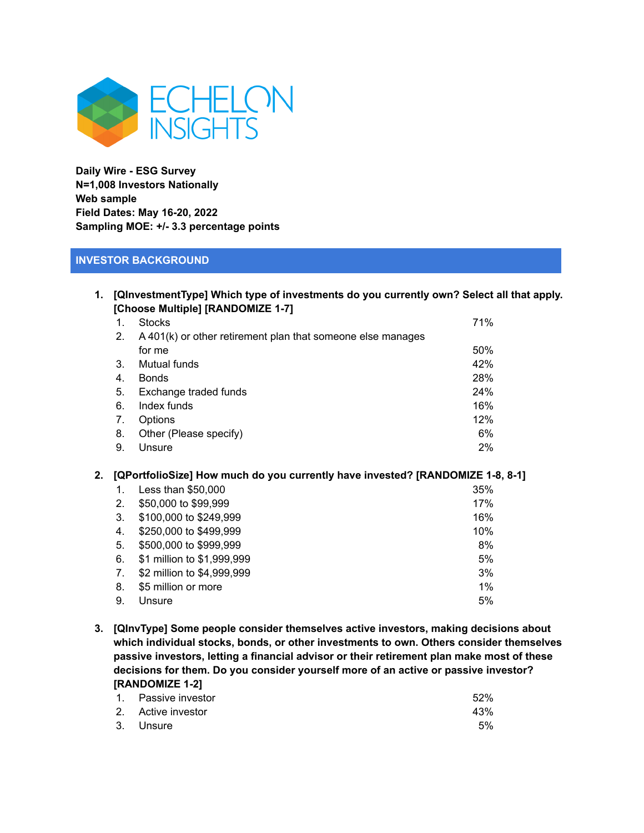

**Daily Wire - ESG Survey N=1,008 Investors Nationally Web sample Field Dates: May 16-20, 2022 Sampling MOE: +/- 3.3 percentage points**

## **INVESTOR BACKGROUND**

| 1. [QInvestmentType] Which type of investments do you currently own? Select all that apply. |
|---------------------------------------------------------------------------------------------|
| [Choose Multiple] [RANDOMIZE 1-7]                                                           |

| 1.             | <b>Stocks</b>                                               | 71% |
|----------------|-------------------------------------------------------------|-----|
| 2.             | A 401(k) or other retirement plan that someone else manages |     |
|                | for me                                                      | 50% |
| 3 <sub>1</sub> | Mutual funds                                                | 42% |
| 4.             | <b>Bonds</b>                                                | 28% |
| 5.             | Exchange traded funds                                       | 24% |
| 6.             | Index funds                                                 | 16% |
| 7.             | Options                                                     | 12% |
| 8.             | Other (Please specify)                                      | 6%  |
| 9.             | Unsure                                                      | 2%  |

#### **2. [QPortfolioSize] How much do you currently have invested? [RANDOMIZE 1-8, 8-1]**

|    | Less than \$50,000         | 35% |
|----|----------------------------|-----|
| 2. | \$50,000 to \$99,999       | 17% |
| 3. | \$100,000 to \$249,999     | 16% |
| 4. | \$250,000 to \$499,999     | 10% |
| 5. | \$500,000 to \$999,999     | 8%  |
| 6. | \$1 million to \$1,999,999 | 5%  |
| 7. | \$2 million to \$4,999,999 | 3%  |
| 8. | \$5 million or more        | 1%  |
| 9. | Unsure                     | 5%  |

**3. [QInvType] Some people consider themselves active investors, making decisions about which individual stocks, bonds, or other investments to own. Others consider themselves passive investors, letting a financial advisor or their retirement plan make most of these decisions for them. Do you consider yourself more of an active or passive investor? [RANDOMIZE 1-2]**

| 1. Passive investor | 52% |
|---------------------|-----|
| 2. Active investor  | 43% |
| 3. Unsure           | 5%  |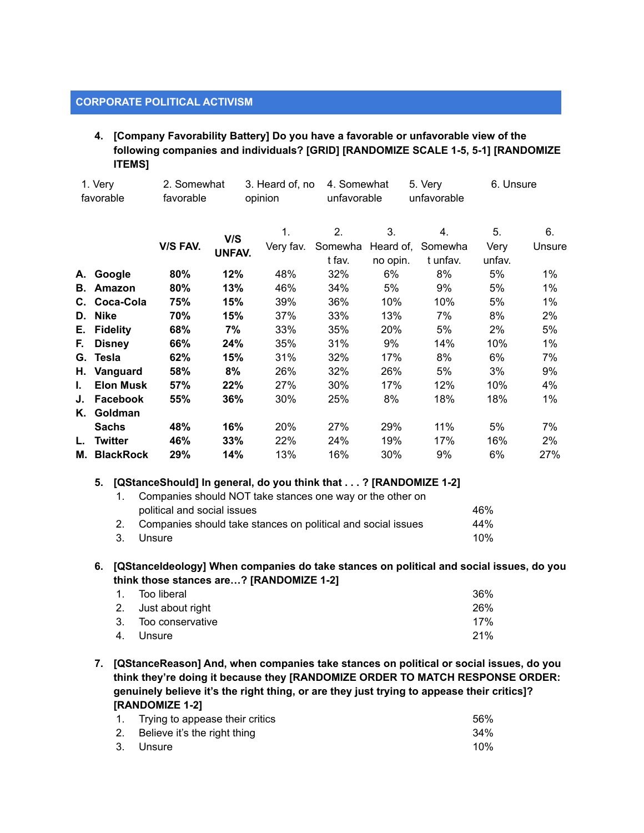#### **CORPORATE POLITICAL ACTIVISM**

**4. [Company Favorability Battery] Do you have a favorable or unfavorable view of the following companies and individuals? [GRID] [RANDOMIZE SCALE 1-5, 5-1] [RANDOMIZE ITEMS]**

|    | 1. Very<br>favorable | 2. Somewhat<br>favorable |               | 3. Heard of, no<br>opinion | 4. Somewhat<br>unfavorable |                 | 5. Very<br>unfavorable | 6. Unsure  |              |
|----|----------------------|--------------------------|---------------|----------------------------|----------------------------|-----------------|------------------------|------------|--------------|
|    |                      |                          |               |                            |                            |                 |                        |            |              |
|    |                      | V/S FAV.                 | V/S           | 1.<br>Very fav.            | 2.<br>Somewha              | 3.<br>Heard of, | 4.<br>Somewha          | 5.<br>Very | 6.<br>Unsure |
|    |                      |                          | <b>UNFAV.</b> |                            | t fav.                     | no opin.        | t unfav.               | unfav.     |              |
|    | A. Google            | 80%                      | 12%           | 48%                        | 32%                        | 6%              | 8%                     | 5%         | $1\%$        |
| В. | Amazon               | 80%                      | 13%           | 46%                        | 34%                        | 5%              | 9%                     | 5%         | $1\%$        |
|    | C. Coca-Cola         | 75%                      | 15%           | 39%                        | 36%                        | 10%             | 10%                    | 5%         | $1\%$        |
|    | D. Nike              | 70%                      | 15%           | 37%                        | 33%                        | 13%             | 7%                     | 8%         | 2%           |
| Е. | <b>Fidelity</b>      | 68%                      | 7%            | 33%                        | 35%                        | 20%             | 5%                     | 2%         | 5%           |
| F. | <b>Disney</b>        | 66%                      | 24%           | 35%                        | 31%                        | 9%              | 14%                    | 10%        | 1%           |
|    | G. Tesla             | 62%                      | 15%           | 31%                        | 32%                        | 17%             | 8%                     | 6%         | 7%           |
|    | H. Vanguard          | 58%                      | 8%            | 26%                        | 32%                        | 26%             | 5%                     | 3%         | 9%           |
| L. | <b>Elon Musk</b>     | 57%                      | 22%           | 27%                        | 30%                        | 17%             | 12%                    | 10%        | 4%           |
| J. | Facebook             | 55%                      | 36%           | 30%                        | 25%                        | 8%              | 18%                    | 18%        | 1%           |
| Κ. | Goldman              |                          |               |                            |                            |                 |                        |            |              |
|    | <b>Sachs</b>         | 48%                      | 16%           | 20%                        | 27%                        | 29%             | 11%                    | 5%         | 7%           |
| L. | Twitter              | 46%                      | 33%           | 22%                        | 24%                        | 19%             | 17%                    | 16%        | 2%           |
|    | M. BlackRock         | 29%                      | 14%           | 13%                        | 16%                        | 30%             | 9%                     | 6%         | 27%          |

#### **5. [QStanceShould] In general, do you think that . . . ? [RANDOMIZE 1-2]**

| Companies should NOT take stances one way or the other on<br>1. |     |  |  |
|-----------------------------------------------------------------|-----|--|--|
| political and social issues                                     | 46% |  |  |
| 2. Companies should take stances on political and social issues | 44% |  |  |
| 3. Unsure                                                       | 10% |  |  |

**6. [QStanceIdeology] When companies do take stances on political and social issues, do you think those stances are…? [RANDOMIZE 1-2]**

| 1. Too liberal      | 36% |
|---------------------|-----|
| 2. Just about right | 26% |
| 3. Too conservative | 17% |
| 4. Unsure           | 21% |

**7. [QStanceReason] And, when companies take stances on political or social issues, do you think they're doing it because they [RANDOMIZE ORDER TO MATCH RESPONSE ORDER: genuinely believe it's the right thing, or are they just trying to appease their critics]? [RANDOMIZE 1-2]**

| 1. Trying to appease their critics | .56% |
|------------------------------------|------|
| 2. Believe it's the right thing    | 34%  |
| 3. Unsure                          | 10%  |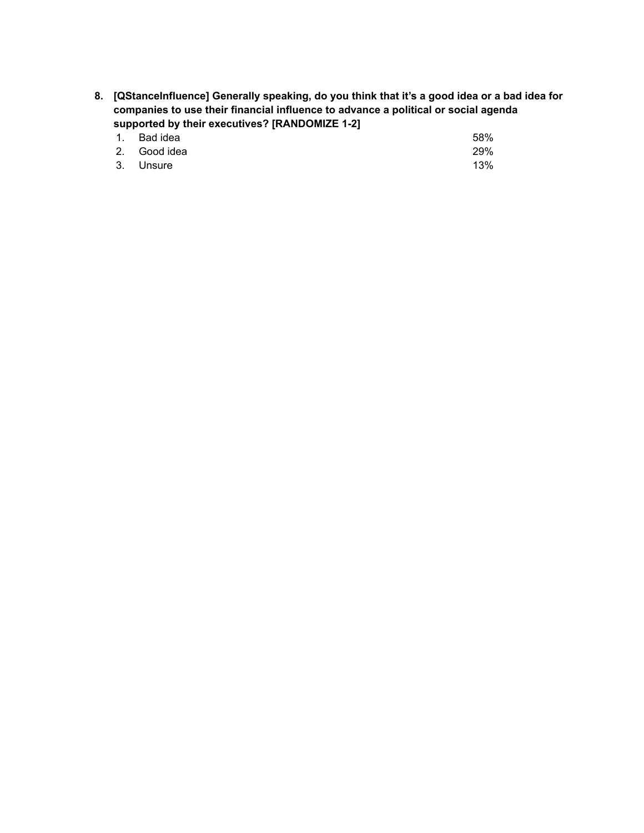**8. [QStanceInfluence] Generally speaking, do you think that it's a good idea or a bad idea for companies to use their financial influence to advance a political or social agenda supported by their executives? [RANDOMIZE 1-2]**

| 1. Bad idea  | 58% |
|--------------|-----|
| 2. Good idea | 29% |
| 3. Unsure    | 13% |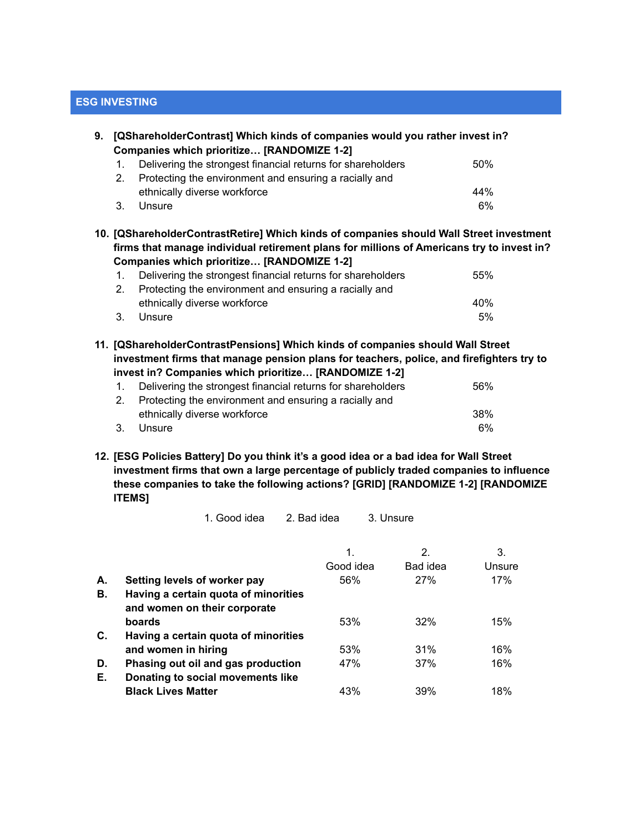## **ESG INVESTING**

| 9. |                                                                                                                                         | [QShareholderContrast] Which kinds of companies would you rather invest in?<br>Companies which prioritize [RANDOMIZE 1-2] |     |  |  |  |  |
|----|-----------------------------------------------------------------------------------------------------------------------------------------|---------------------------------------------------------------------------------------------------------------------------|-----|--|--|--|--|
|    | 1.                                                                                                                                      | Delivering the strongest financial returns for shareholders                                                               | 50% |  |  |  |  |
|    | 2 <sub>1</sub>                                                                                                                          | Protecting the environment and ensuring a racially and                                                                    |     |  |  |  |  |
|    |                                                                                                                                         | ethnically diverse workforce                                                                                              | 44% |  |  |  |  |
|    | 3.                                                                                                                                      | Unsure                                                                                                                    | 6%  |  |  |  |  |
|    | firms that manage individual retirement plans for millions of Americans try to invest in?<br>Companies which prioritize [RANDOMIZE 1-2] |                                                                                                                           |     |  |  |  |  |
|    |                                                                                                                                         |                                                                                                                           |     |  |  |  |  |
|    | 1.                                                                                                                                      | Delivering the strongest financial returns for shareholders                                                               | 55% |  |  |  |  |
|    | 2 <sub>1</sub>                                                                                                                          | Protecting the environment and ensuring a racially and                                                                    |     |  |  |  |  |
|    |                                                                                                                                         | ethnically diverse workforce                                                                                              | 40% |  |  |  |  |
|    | 3.                                                                                                                                      | Unsure                                                                                                                    | 5%  |  |  |  |  |
|    | 11. [QShareholderContrastPensions] Which kinds of companies should Wall Street                                                          |                                                                                                                           |     |  |  |  |  |

**investment firms that manage pension plans for teachers, police, and firefighters try to invest in? Companies which prioritize… [RANDOMIZE 1-2]**

|    | Delivering the strongest financial returns for shareholders | 56%  |
|----|-------------------------------------------------------------|------|
| 2. | Protecting the environment and ensuring a racially and      |      |
|    | ethnically diverse workforce                                | -38% |
|    | Unsure                                                      | 6%   |

**12. [ESG Policies Battery] Do you think it's a good idea or a bad idea for Wall Street investment firms that own a large percentage of publicly traded companies to influence these companies to take the following actions? [GRID] [RANDOMIZE 1-2] [RANDOMIZE ITEMS]**

1. Good idea 2. Bad idea 3. Unsure

|    |                                      | 1.        | 2.       | 3.     |
|----|--------------------------------------|-----------|----------|--------|
|    |                                      | Good idea | Bad idea | Unsure |
| А. | Setting levels of worker pay         | 56%       | 27%      | 17%    |
| В. | Having a certain quota of minorities |           |          |        |
|    | and women on their corporate         |           |          |        |
|    | boards                               | 53%       | 32%      | 15%    |
| C. | Having a certain quota of minorities |           |          |        |
|    | and women in hiring                  | 53%       | 31%      | 16%    |
| D. | Phasing out oil and gas production   | 47%       | 37%      | 16%    |
| Е. | Donating to social movements like    |           |          |        |
|    | <b>Black Lives Matter</b>            | 43%       | 39%      | 18%    |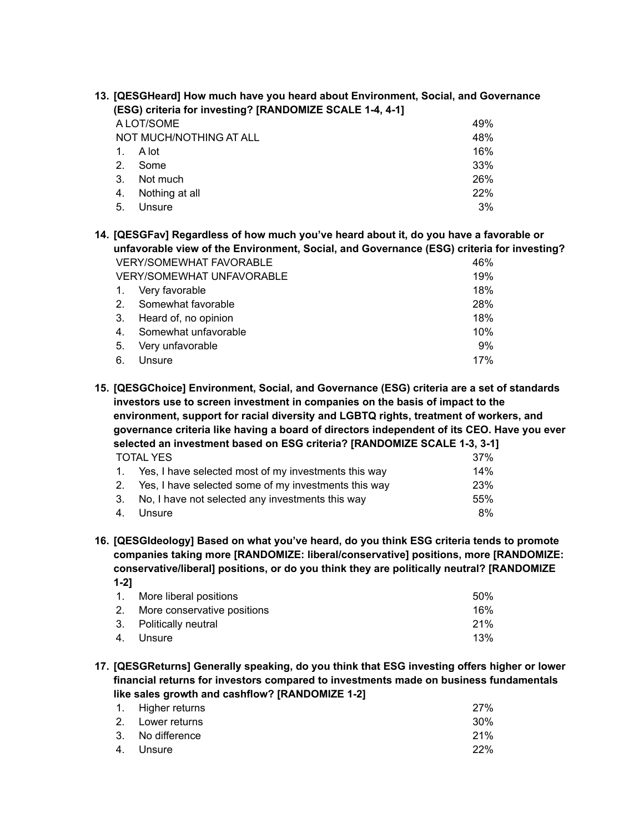| 13. [QESGHeard] How much have you heard about Environment, Social, and Governance |    |                                                          |     |
|-----------------------------------------------------------------------------------|----|----------------------------------------------------------|-----|
|                                                                                   |    | (ESG) criteria for investing? [RANDOMIZE SCALE 1-4, 4-1] |     |
|                                                                                   |    | A LOT/SOME                                               | 49% |
|                                                                                   |    | NOT MUCH/NOTHING AT ALL                                  | 48% |
|                                                                                   |    | A lot                                                    | 16% |
|                                                                                   | 2. | Some                                                     | 33% |
|                                                                                   | 3. | Not much                                                 | 26% |
|                                                                                   | 4. | Nothing at all                                           | 22% |
|                                                                                   | 5. | Unsure                                                   | 3%  |
|                                                                                   |    |                                                          |     |

**14. [QESGFav] Regardless of how much you've heard about it, do you have a favorable or unfavorable view of the Environment, Social, and Governance (ESG) criteria for investing?** VERY/SOMEWHAT FAVORABLE 46% VERY/SOMEWHAT UNFAVORABLE 1996 1. Very favorable 18% 2. Somewhat favorable 28% 3. Heard of, no opinion 18% 4. Somewhat unfavorable 10% 5. Very unfavorable 9% 6. Unsure 17%

**15. [QESGChoice] Environment, Social, and Governance (ESG) criteria are a set of standards investors use to screen investment in companies on the basis of impact to the environment, support for racial diversity and LGBTQ rights, treatment of workers, and governance criteria like having a board of directors independent of its CEO. Have you ever selected an investment based on ESG criteria? [RANDOMIZE SCALE 1-3, 3-1]** TOTAL YES 37%

| 1. Yes, I have selected most of my investments this way | 14%  |
|---------------------------------------------------------|------|
| 2. Yes, I have selected some of my investments this way | 23%  |
| 3. No, I have not selected any investments this way     | .55% |
| 4. Unsure                                               | 8%   |

**16. [QESGIdeology] Based on what you've heard, do you think ESG criteria tends to promote companies taking more [RANDOMIZE: liberal/conservative] positions, more [RANDOMIZE: conservative/liberal] positions, or do you think they are politically neutral? [RANDOMIZE 1-2]**

| 1. More liberal positions      | .50%            |
|--------------------------------|-----------------|
| 2. More conservative positions | 16%             |
| 3. Politically neutral         | 21 <sup>%</sup> |
| 4. Unsure                      | 13%             |

**17. [QESGReturns] Generally speaking, do you think that ESG investing offers higher or lower financial returns for investors compared to investments made on business fundamentals like sales growth and cashflow? [RANDOMIZE 1-2]**

| 1. Higher returns | 27%        |
|-------------------|------------|
| 2. Lower returns  | 30%        |
| 3. No difference  | 21%        |
| 4. Unsure         | <b>22%</b> |
|                   |            |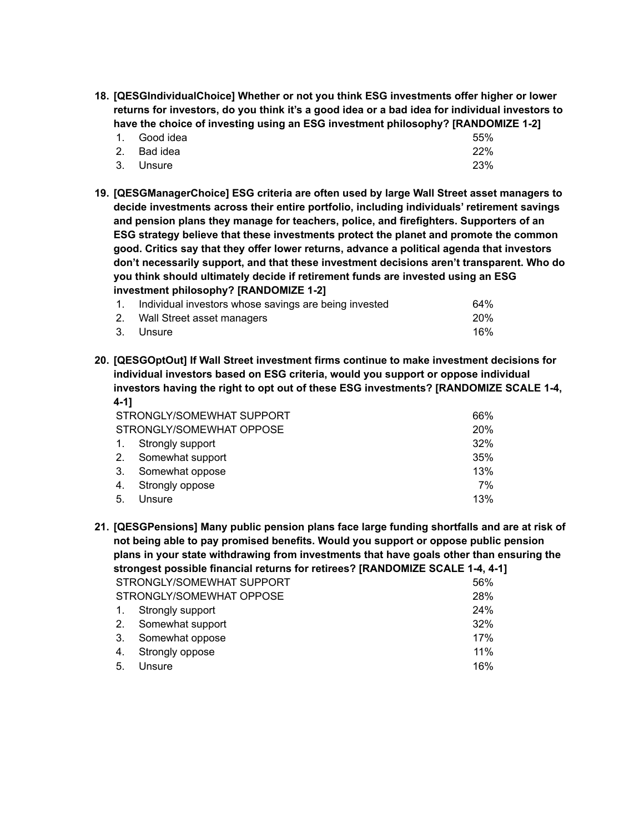**18. [QESGIndividualChoice] Whether or not you think ESG investments offer higher or lower returns for investors, do you think it's a good idea or a bad idea for individual investors to have the choice of investing using an ESG investment philosophy? [RANDOMIZE 1-2]**

| 1. Good idea | 55% |
|--------------|-----|
| 2. Bad idea  | 22% |
| 3. Unsure    | 23% |

**19. [QESGManagerChoice] ESG criteria are often used by large Wall Street asset managers to decide investments across their entire portfolio, including individuals' retirement savings and pension plans they manage for teachers, police, and firefighters. Supporters of an ESG strategy believe that these investments protect the planet and promote the common good. Critics say that they offer lower returns, advance a political agenda that investors don't necessarily support, and that these investment decisions aren't transparent. Who do you think should ultimately decide if retirement funds are invested using an ESG investment philosophy? [RANDOMIZE 1-2]**

| 1. Individual investors whose savings are being invested | 64%        |
|----------------------------------------------------------|------------|
| 2. Wall Street asset managers                            | <b>20%</b> |
| 3. Unsure                                                | 16%        |

**20. [QESGOptOut] If Wall Street investment firms continue to make investment decisions for individual investors based on ESG criteria, would you support or oppose individual investors having the right to opt out of these ESG investments? [RANDOMIZE SCALE 1-4, 4-1]**

|                | STRONGLY/SOMEWHAT SUPPORT | 66%        |
|----------------|---------------------------|------------|
|                | STRONGLY/SOMEWHAT OPPOSE  | <b>20%</b> |
| $\mathbf{1}$ . | Strongly support          | 32%        |
| 2.             | Somewhat support          | 35%        |
| 3.             | Somewhat oppose           | 13%        |
| 4.             | Strongly oppose           | 7%         |
| 5.             | Unsure                    | 13%        |

**21. [QESGPensions] Many public pension plans face large funding shortfalls and are at risk of not being able to pay promised benefits. Would you support or oppose public pension plans in your state withdrawing from investments that have goals other than ensuring the strongest possible financial returns for retirees? [RANDOMIZE SCALE 1-4, 4-1]** STRONGLY/SOMEWHAT SUPPORT 56% STRONGLY/SOMEWHAT OPPOSE 28% 1. Strongly support 24% 2. Somewhat support 32% 3. Somewhat oppose 17%

- 4. Strongly oppose 11%
- 5. Unsure 16%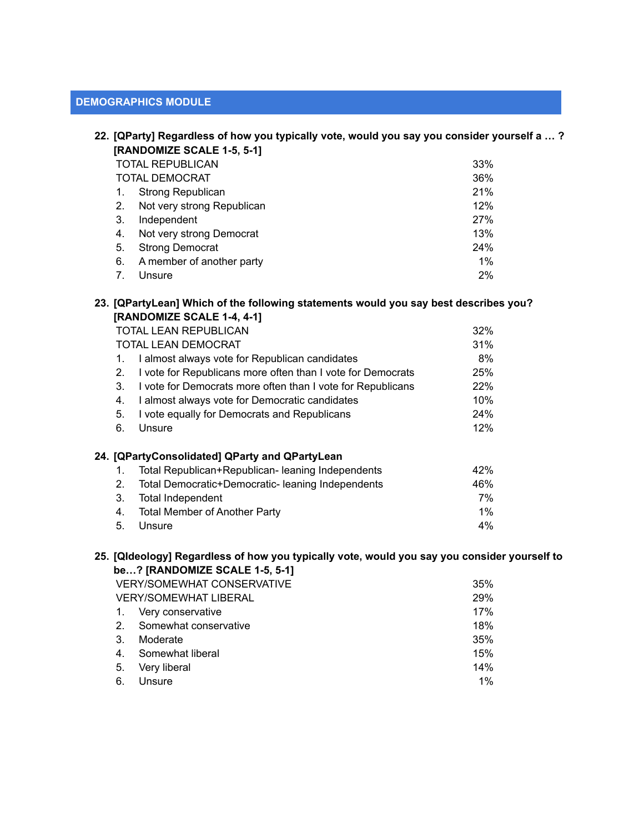## **DEMOGRAPHICS MODULE**

|    | 22. [QParty] Regardless of how you typically vote, would you say you consider yourself a ?<br>[RANDOMIZE SCALE 1-5, 5-1] |     |
|----|--------------------------------------------------------------------------------------------------------------------------|-----|
|    | TOTAL REPUBLICAN                                                                                                         | 33% |
|    | <b>TOTAL DEMOCRAT</b>                                                                                                    | 36% |
|    | Strong Republican                                                                                                        | 21% |
| 2. | Not very strong Republican                                                                                               | 12% |
| 3. | Independent                                                                                                              | 27% |
| 4. | Not very strong Democrat                                                                                                 | 13% |
| 5. | <b>Strong Democrat</b>                                                                                                   | 24% |
| 6. | A member of another party                                                                                                | 1%  |
|    | Unsure                                                                                                                   | 2%  |

#### **23. [QPartyLean] Which of the following statements would you say best describes you? [RANDOMIZE SCALE 1-4, 4-1]**

|    | TOTAL LEAN REPUBLICAN                                       | 32%   |
|----|-------------------------------------------------------------|-------|
|    | TOTAL LEAN DEMOCRAT                                         | 31%   |
| 1. | I almost always vote for Republican candidates              | 8%    |
| 2. | I vote for Republicans more often than I vote for Democrats | 25%   |
| 3. | I vote for Democrats more often than I vote for Republicans | 22%   |
| 4. | I almost always vote for Democratic candidates              | 10%   |
| 5. | I vote equally for Democrats and Republicans                | 24%   |
| 6. | Unsure                                                      | 12%   |
|    | 24. [QPartyConsolidated] QParty and QPartyLean              |       |
| 1. | Total Republican+Republican- leaning Independents           | 42%   |
| 2. | Total Democratic+Democratic- leaning Independents           | 46%   |
| 3. | <b>Total Independent</b>                                    | 7%    |
| 4. | <b>Total Member of Another Party</b>                        | $1\%$ |
| 5. | Unsure                                                      | $4\%$ |

## **25. [QIdeology] Regardless of how you typically vote, would you say you consider yourself to be…? [RANDOMIZE SCALE 1-5, 5-1]**

|                | VERY/SOMEWHAT CONSERVATIVE | 35%   |
|----------------|----------------------------|-------|
|                | VERY/SOMEWHAT LIBERAL      | 29%   |
| $\mathbf{1}$ . | Very conservative          | 17%   |
| 2 <sup>1</sup> | Somewhat conservative      | 18%   |
| 3.             | Moderate                   | 35%   |
| 4.             | Somewhat liberal           | 15%   |
| 5.             | Very liberal               | 14%   |
| 6.             | Unsure                     | $1\%$ |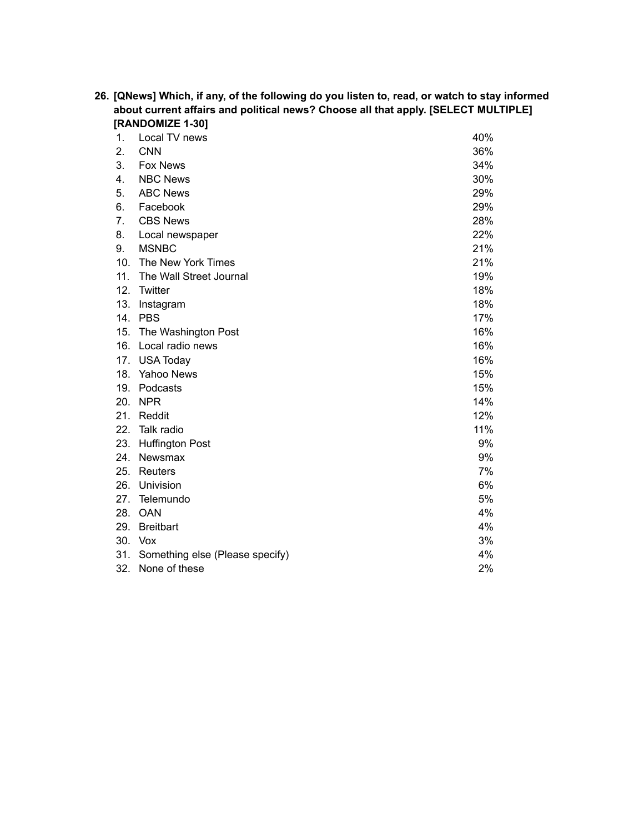|     | about current affairs and political news? Choose all that apply. [SELECT MULTIPLE] |     |
|-----|------------------------------------------------------------------------------------|-----|
|     | [RANDOMIZE 1-30]                                                                   |     |
| 1.  | Local TV news                                                                      | 40% |
| 2.  | <b>CNN</b>                                                                         | 36% |
| 3.  | <b>Fox News</b>                                                                    | 34% |
| 4.  | <b>NBC News</b>                                                                    | 30% |
| 5.  | <b>ABC News</b>                                                                    | 29% |
| 6.  | Facebook                                                                           | 29% |
| 7.  | <b>CBS News</b>                                                                    | 28% |
| 8.  | Local newspaper                                                                    | 22% |
| 9.  | <b>MSNBC</b>                                                                       | 21% |
| 10. | The New York Times                                                                 | 21% |
| 11. | The Wall Street Journal                                                            | 19% |
| 12. | Twitter                                                                            | 18% |
| 13. | Instagram                                                                          | 18% |
|     | 14. PBS                                                                            | 17% |
| 15. | The Washington Post                                                                | 16% |
| 16. | Local radio news                                                                   | 16% |
| 17. | <b>USA Today</b>                                                                   | 16% |
|     | 18. Yahoo News                                                                     | 15% |
|     | 19. Podcasts                                                                       | 15% |
| 20. | <b>NPR</b>                                                                         | 14% |
| 21. | Reddit                                                                             | 12% |
| 22. | Talk radio                                                                         | 11% |
| 23. | <b>Huffington Post</b>                                                             | 9%  |
| 24. | Newsmax                                                                            | 9%  |
| 25. | Reuters                                                                            | 7%  |
| 26. | Univision                                                                          | 6%  |
| 27. | Telemundo                                                                          | 5%  |
| 28. | <b>OAN</b>                                                                         | 4%  |
| 29. | <b>Breitbart</b>                                                                   | 4%  |
|     | 30. Vox                                                                            | 3%  |
| 31. | Something else (Please specify)                                                    | 4%  |
| 32. | None of these                                                                      | 2%  |

**26. [QNews] Which, if any, of the following do you listen to, read, or watch to stay informed**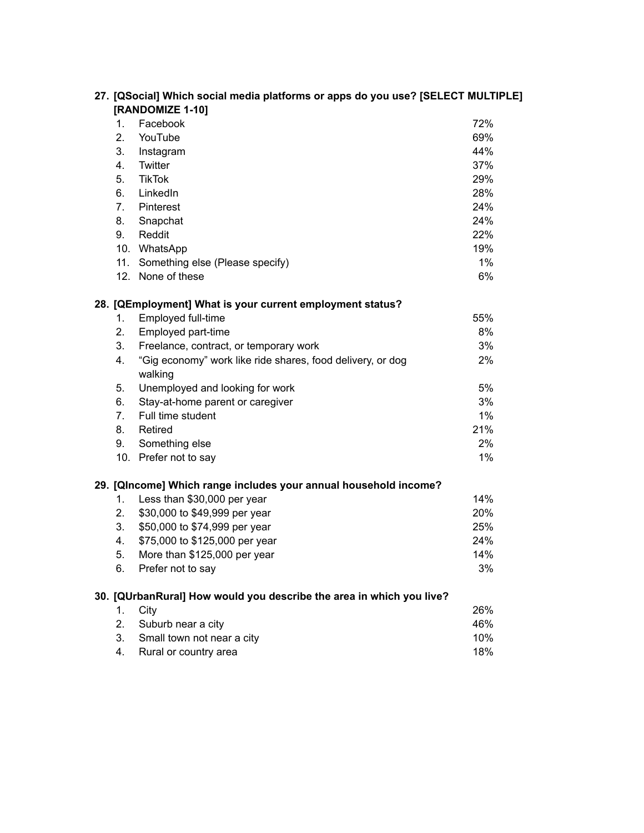| 27. [QSocial] Which social media platforms or apps do you use? [SELECT MULTIPLE]<br>[RANDOMIZE 1-10] |       |
|------------------------------------------------------------------------------------------------------|-------|
| Facebook<br>1.                                                                                       | 72%   |
| 2.<br>YouTube                                                                                        | 69%   |
| 3.<br>Instagram                                                                                      | 44%   |
| Twitter<br>4.                                                                                        | 37%   |
| 5.<br><b>TikTok</b>                                                                                  | 29%   |
| 6.<br>LinkedIn                                                                                       | 28%   |
| 7 <sub>1</sub><br>Pinterest                                                                          | 24%   |
| 8.<br>Snapchat                                                                                       | 24%   |
| 9.<br>Reddit                                                                                         | 22%   |
| 10. WhatsApp                                                                                         | 19%   |
| 11. Something else (Please specify)                                                                  | $1\%$ |
| 12. None of these                                                                                    | 6%    |
| 28. [QEmployment] What is your current employment status?                                            |       |
| Employed full-time<br>1.                                                                             | 55%   |
| Employed part-time<br>2.                                                                             | 8%    |
| 3.<br>Freelance, contract, or temporary work                                                         | 3%    |
| 4.<br>"Gig economy" work like ride shares, food delivery, or dog                                     | 2%    |
| walking                                                                                              |       |
| Unemployed and looking for work<br>5.                                                                | 5%    |
| Stay-at-home parent or caregiver<br>6.                                                               | 3%    |
| Full time student<br>7.                                                                              | $1\%$ |
| 8.<br>Retired                                                                                        | 21%   |
| Something else<br>9.                                                                                 | 2%    |
| 10. Prefer not to say                                                                                | $1\%$ |
| 29. [QIncome] Which range includes your annual household income?                                     |       |
| Less than \$30,000 per year<br>1.                                                                    | 14%   |
| \$30,000 to \$49,999 per year<br>2.                                                                  | 20%   |
| 3.<br>\$50,000 to \$74,999 per year                                                                  | 25%   |
| \$75,000 to \$125,000 per year<br>4.                                                                 | 24%   |
| 5.<br>More than \$125,000 per year                                                                   | 14%   |
| Prefer not to say<br>6.                                                                              | 3%    |
| 30. [QUrbanRural] How would you describe the area in which you live?                                 |       |
| City<br>1.                                                                                           | 26%   |
| 2.<br>Suburb near a city                                                                             | 46%   |
| Small town not near a city<br>3.                                                                     | 10%   |
| Rural or country area<br>4.                                                                          | 18%   |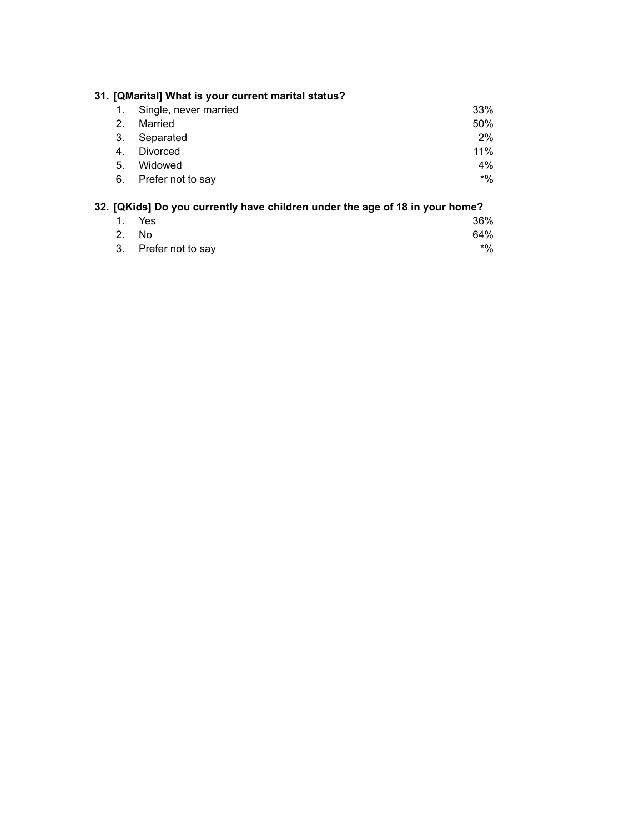|         | 31. [QMarital] What is your current marital status? |       |
|---------|-----------------------------------------------------|-------|
|         | Single, never married                               | 33%   |
| $2_{-}$ | Married                                             | 50%   |
| 3.      | Separated                                           | 2%    |
| 4.      | Divorced                                            | 11%   |
| 5.      | Widowed                                             | $4\%$ |
| 6.      | Prefer not to say                                   | $*$ % |

# **32. [QKids] Do you currently have children under the age of 18 in your home?**

| 1. Yes               | 36% |
|----------------------|-----|
| 2. No                | 64% |
| 3. Prefer not to say | *%  |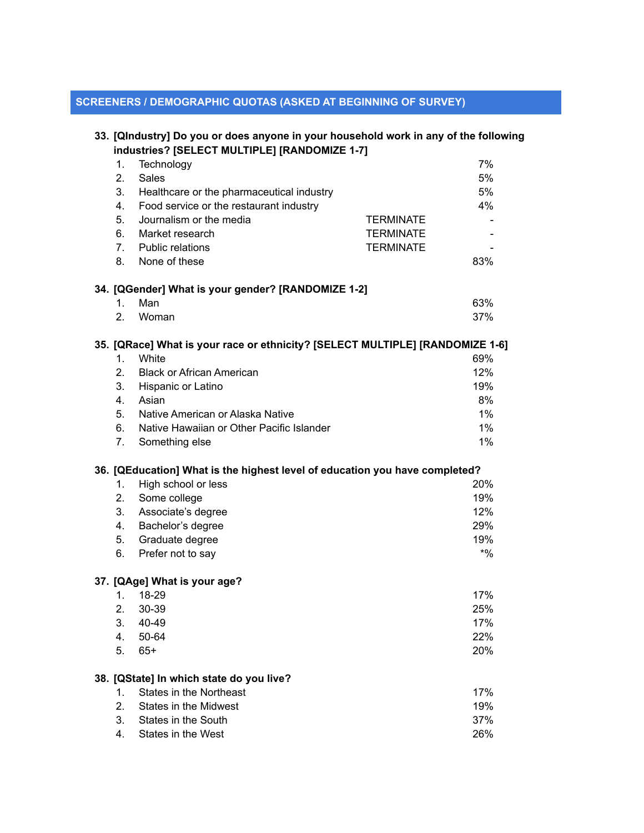## **SCREENERS / DEMOGRAPHIC QUOTAS (ASKED AT BEGINNING OF SURVEY)**

|         | 33. [QIndustry] Do you or does anyone in your household work in any of the following |                  |  |
|---------|--------------------------------------------------------------------------------------|------------------|--|
|         | industries? [SELECT MULTIPLE] [RANDOMIZE 1-7]                                        |                  |  |
| 1.      | Technology                                                                           | 7%               |  |
| 2.      | Sales                                                                                | 5%               |  |
| 3.      | Healthcare or the pharmaceutical industry                                            | 5%               |  |
| 4.      | Food service or the restaurant industry                                              | 4%               |  |
| 5.      | Journalism or the media                                                              | <b>TERMINATE</b> |  |
| 6.      | Market research                                                                      | <b>TERMINATE</b> |  |
| 7.      | <b>Public relations</b>                                                              | <b>TERMINATE</b> |  |
| 8.      | None of these                                                                        | 83%              |  |
|         | 34. [QGender] What is your gender? [RANDOMIZE 1-2]                                   |                  |  |
| 1.      | Man                                                                                  | 63%              |  |
| 2.      | Woman                                                                                | 37%              |  |
|         | 35. [QRace] What is your race or ethnicity? [SELECT MULTIPLE] [RANDOMIZE 1-6]        |                  |  |
| $1_{-}$ | White                                                                                | 69%              |  |
| 2.      | <b>Black or African American</b>                                                     | 12%              |  |
| 3.      | Hispanic or Latino                                                                   | 19%              |  |
| 4.      | Asian                                                                                | 8%               |  |
| 5.      | Native American or Alaska Native                                                     | 1%               |  |
| 6.      | Native Hawaiian or Other Pacific Islander                                            | 1%               |  |
| 7.      | Something else                                                                       | 1%               |  |
|         | 36. [QEducation] What is the highest level of education you have completed?          |                  |  |
| 1.      | High school or less                                                                  | 20%              |  |
| 2.      | Some college                                                                         | 19%              |  |
| 3.      | Associate's degree                                                                   | 12%              |  |
| 4.      | Bachelor's degree                                                                    | 29%              |  |
| 5.      | Graduate degree                                                                      | 19%              |  |
| 6.      | Prefer not to say                                                                    | $*9/0$           |  |
|         | 37. [QAge] What is your age?                                                         |                  |  |
|         | 1. 18-29                                                                             | 17%              |  |
| 2.      | 30-39                                                                                | 25%              |  |
| 3.      | 40-49                                                                                | 17%              |  |
| 4.      | 50-64                                                                                | 22%              |  |
| 5.      | $65+$                                                                                | 20%              |  |
|         |                                                                                      |                  |  |
|         | 38. [QState] In which state do you live?                                             |                  |  |
| 1.      | <b>States in the Northeast</b>                                                       | 17%              |  |
| 2.      | <b>States in the Midwest</b>                                                         | 19%              |  |
| 3.      | States in the South                                                                  | 37%              |  |
| 4.      | States in the West                                                                   | 26%              |  |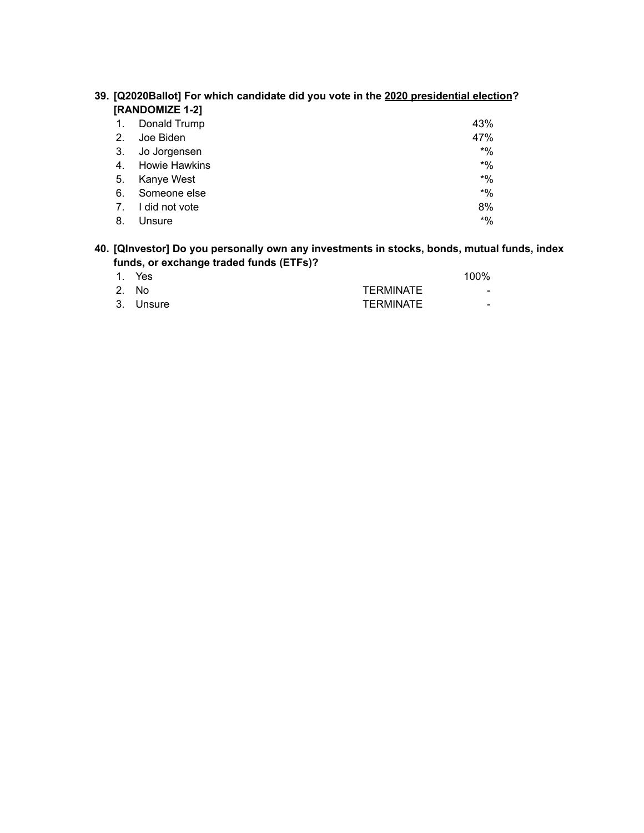|    | 39. [Q2020Ballot] For which candidate did you vote in the 2020 presidential election |           |
|----|--------------------------------------------------------------------------------------|-----------|
|    | [RANDOMIZE 1-2]                                                                      |           |
| 1. | Donald Trump                                                                         | 43%       |
| 2. | Joe Biden                                                                            | 47%       |
| 3. | Jo Jorgensen                                                                         | $*$ %     |
| 4. | <b>Howie Hawkins</b>                                                                 | $*9'_{0}$ |
| 5. | Kanye West                                                                           | $*$ %     |
| 6. | Someone else                                                                         | $*$ %     |
|    |                                                                                      |           |

7. I did not vote 8% 8. Unsure  $*$ %

| 39. [Q2020Ballot] For which candidate did you vote in the 2020 presidential election? |  |  |  |
|---------------------------------------------------------------------------------------|--|--|--|
| [RANDOMIZE 1-2]                                                                       |  |  |  |

| 40. [QInvestor] Do you personally own any investments in stocks, bonds, mutual funds, index |  |
|---------------------------------------------------------------------------------------------|--|
| funds, or exchange traded funds (ETFs)?                                                     |  |

| 1. Yes    |                  | 100%                     |
|-----------|------------------|--------------------------|
| 2. No     | <b>TERMINATE</b> | $\overline{\phantom{0}}$ |
| 3. Unsure | TERMINATE        | $\overline{\phantom{0}}$ |